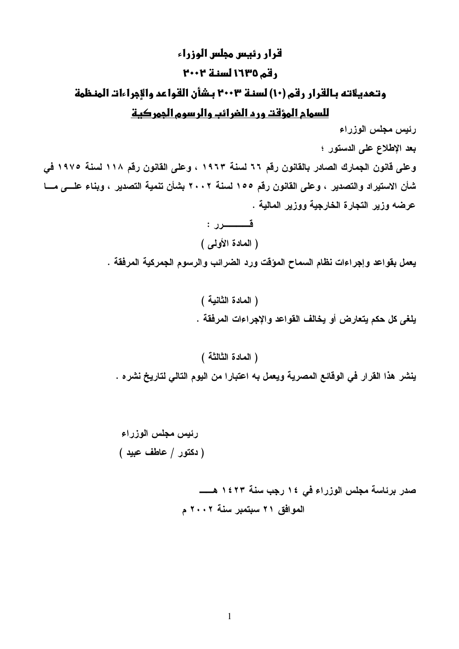# قرار رئيس مجلس الوزراء رقم ١٦٣٥ لسنة ٢٠٠٢ وتعديلاته بالقرار رقم (١٠) لسنة ٢٠٠٣ بشأن القواعد والإجراءات المنظمة

# للسمام المؤقت ورم الغرائب والرسوم الجمركية

رئيس مجلس الوزراء

بعد الإطلاع على الدستور ؛

وعلى قانون الجمارك الصادر بالقانون رقم ٦٦ لسنة ١٩٦٣ ، وعلى القانون رقم ١١٨ لسنة ١٩٧٥ في شأن الاستيراد والتصدير ، وعلى القانون رقم ١٥٥ لسنة ٢٠٠٢ بشأن تنمية التصدير ، وبناء علـــى مـــا عرضه وزير التجارة الخارجية ووزير المالية .

> قـــــــــــرر : (المعادة الأولى)

يعمل بقواعد وإجراءات نظام السماح المؤقت ورد الضرائب والرسوم الجمركية المرفقة .

( المادة الثانية ) يلغي كل حكم يتعارض أو يخالف القواعد والإجراءات المرفقة .

(المادة الثالثة)

ينشر. هذا القرار في الوقائع المصرية ويعمل به اعتبارا من اليوم التالي لتاريخ نشره .

الموافق ٢١ سبتمبر سنة ٢٠٠٢ م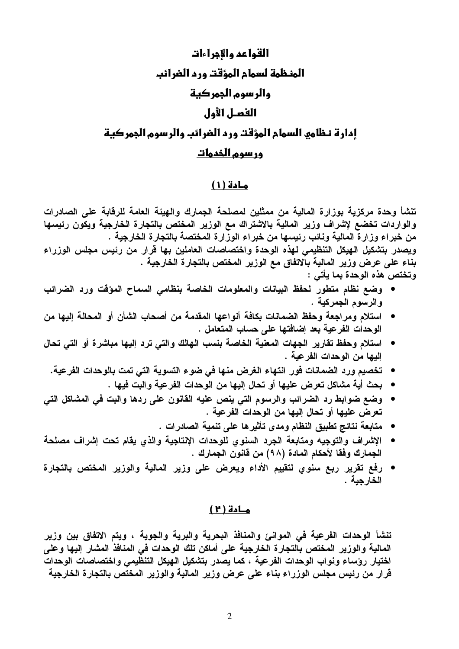# القواعد والإجراءات الهنظمة لسمام المؤقت ورد الضرائب والر سوم الجمر كية الفعــل الأول إدارة نظامه السمام المؤقت ورد الضرائب والرسوم الجمركية ور سوم الخدمات

### مادة (١)

تنشأ وحدة مركزية بوزارة المالية من ممثلين لمصلحة الجمارك والهيئة العامة للرقابة على الصادرات والواردات تخضع لإشراف وزير المالية بالاشتراك مع الوزير المختص بالتجارة الخارجية ويكون رئيسها من خبراء وزارة المالية ونائب رئيسها من خبراء الوزارة المختصة بالتجارة الخارجية . ويصدر بتشكيل الهيكل التنظيمي لهذه الوحدة واختصاصات العاملين بها قرار من رئيس مجلس الوزراء بناء على عرض وزير المالية بالاتفاق مع الوزير المختص بالتجارة الخارجية . وتختص هذه الوحدة بما يأتي :

- وضع نظام متطور لحفظ البيانات والمعلومات الخاصة بنظامي السماح المؤقت ورد الضرائب والرسوم الجمركية .
- استلام ومراجعة وحفظ الضمانات بكافة أنواعها المقدمة من أصحاب الشأن أو المحالة إليها من الوحدات الفرعية بعد إضافتها على حساب المتعامل .
- استلام وحفظ تقارير الجهات المعنية الخاصة بنسب الهالك والتي ترد إليها مباشرة أو التي تحال إليها من الوحدات الفرعية .
	- تخصيم ورد الضمانات فور انتهاء الغرض منها في ضوء التسوية التي تمت بالوحدات الفرعية.
		- بحث أية مشاكل تعرض عليها أو تحال إليها من الوحدات الفرعية والبت فيها .
- وضع ضوابط رد الضرائب والرسوم التي ينص عليه القانون على ردها والبت في المشاكل التي تعرض عليها أو تحال إليها من الوحدات الفرعية .
	- متابعة نتائج تطبيق النظام ومدى تأثيرها على تنمية الصادرات .
- الإشراف والتوجيه ومتابعة الجرد السنوي للوحدات الإنتاجية والذي يقام تحت إشراف مصلحة الجمارك وفقا لأحكام المادة (٩٨) من قانون الجمارك .
- رفع تقرير ربع سنوى لتقييم الأداء ويعرض على وزير المالية والوزير المختص بالتجارة الخارجبة .

#### مادة (٢)

تنشأ الوحدات الفرعية في الموانئ والمنافذ البحرية والبرية والجوية ، ويتم الاتفاق بين وزير المالية والوزير المختص بالتجارة الخارجية على أماكن تلك الوحدات في المنافذ المشار إليها وعلى اختيار رؤساء ونواب الوحدات الفرعية ، كما يصدر بتشكيل الهيكل التنظيمي واختصاصات الوحدات قرار من رئيس مجلس الوزراء بناء على عرض وزير المالية والوزير المختص بالتجارة الخارجية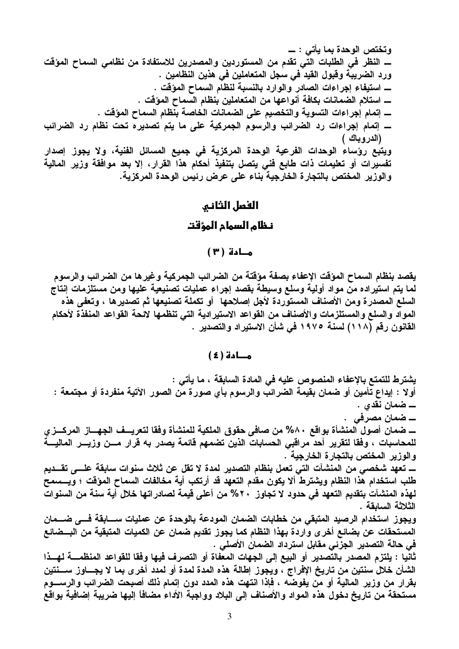ـــــ النظر في الطلبات التي تقدم من المستوردين والمصدرين للاستفادة من نظامي السماح المؤقت ورد الضريبة وقبول القيد في سجل المتعاملين في هذين النظامين . ـــــــــ استيفاء إجراءات الصادر والوارد بالنسبة لنظام السماح المؤقت . ـــــ إتمام إجراءات رد الضرائب والرسوم الجمركية على ما يتم تصديره تحت نظام رد الضرائب (الدروباك ) ويتبع رؤساء الوحدات الفرعية الوحدة المركزية في جميع المسائل الفنية، ولا يجوز إصدار تفسيرات أو تعليمات ذات طابع فنى يتصل بتنفيذ أحكام هذا القرار، إلا بعد موافقة وزير المالية والوزير المختص بالتجارة الخارجية بناء على عرض رئيس الوحدة المركزية.

## الفصل الثاني

#### نظام السمام المؤقت

#### $(1)$  and  $\overline{1}$

يقصد بنظام السماح المؤقت الإعفاء بصفة مؤقتة من الضرائب الجمركية وغيرها من الضرائب والرسوم لما يتم استيراده من مواد أولية وسلع وسيطة بقصد إجراء عمليات تصنيعية عليها ومن مستلزمات إنتاج السلع المصدر ة ومن الأصناف المستوردة لأجل إصلاحها ۖ أو تكملة تصنيعها ثم تصدير ها ، وتعفى هذه المواد والسلع والمستلزمات والأصناف من القواعد الاستيرادية التي تنظمها لائحة القواعد المنفذة لأحكام القانون رقم (١١٨) لسنة ١٩٧٥ في شأن الاستيراد والتصدير .

#### مــادة ( ٤ )

يشترط للتمتع بالإعفاء المنصوص عليه في المادة السابقة ، ما يأتي : أولا : إيداع تأمين أو ضمان بقيمة الضرائب والرسوم بأي صورة من الصور الآتية منفردة أو مجتمعة : ۔ ضمان مصرفی . ـــــ ضمان أصول المنشأة بواقع ٨٠% من صافي حقوق الملكية للمنشأة وفقا لتعريـــف الجهــــاز المركــــز ي للمحاسبات ، وفقا لتقرير أحد مراقبي الحسابات الذين تضمهم قائمة يصدر به قرار مسن وزيسر الماليسة والوزير المختص بالتجارة الخارجية . ــــ تعهد شخصـي من المنشآت التي تعمل بنظام التصدير لمدة لا تقل عن ثلاث سنوات سابقة علــــي تقـــديم طلب استخدام هذا النظام ويشترط ألا يكون مقدم التعهد قد أرتكب أية مخالفات السماح المؤقت ؛ ويـــسمح لهذه المنشآت بتقديم التعهد في حدود لا تجاوز. ٢٠% من أعلى قيمة لصادراتها خلال أية سنة من السنوات الثلاثة السابقة . ويجوز استخدام الرصيد المتبقى من خطابات الضمان المودعة بالوحدة عن عمليات ســـابقة فـــى ضـــمان المستحقات عن بضائع أخر ي واردة بهذا النظام كما يجوز تقديم ضمان عن الكميات المتبقية من البــضائع في حالة التصدير الجزئي مقابل استرداد الضمان الأصلي . ثانيا : يلتزم المصدر بالتصدير أو البيع إلى الجهات المعفاة أو التصرف فيها وفقا للقواعد المنظمــــة لهـــذا الشأن خلال سنتين من تاريخ الإفراج ، ويجوز إطالة هذه المدة لمدة أو لمدد أخرى بما لا يجـــاوز ســـنتين

بقرار من وزير المالية أو من يفوضه ، فإذا انتهت هذه المدد دون إتمام ذلك أصبحت الضرائب والرســــوم مستحقة من تاريخ دخول هذه المواد والأصناف إلى البلاد وواجبة الأداء مضافاً إليها ضريبة إضافية بواقع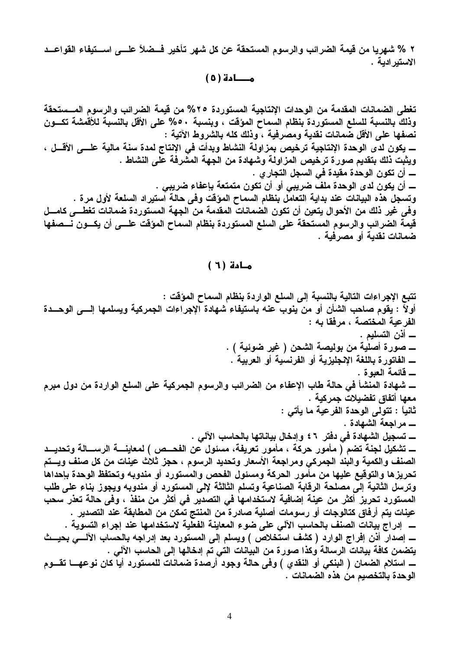٢ % شهريا من قيمة الضرائب والرسوم المستحقة عن كل شهر تأخير فــضلاً علـــي اســتيفاء القواعــد الاستبر ادبة .

مـــادة (٥)

تغطى الضمانات المقدمة من الوحدات الإنتاجية المستوردة ٢٥% من قيمة الضرائب والرسوم المـــستحقة وذلك بالنسبة للسلع المستوردة بنظام السماح المؤقت ، وبنسبة ٥٠% على الأقل بالنسبة للأقمشة تكسون نصفها على الأقل ضمانات نقدية ومصرفية ، وذلك كله بالشروط الآتية : ـــــــ يكون لدى الوحدة الإنتاجية ترخيص بمزاولة النشاط وبدأت في الإنتاج لمدة سنة مالية علــــي الأقـــل ، ويثبت ذلك بتقديم صورة ترخيص المزاولة وشهادة من الجهة المشرفة على النشاط . ـــــ أن تكون الوحدة مقيدة في السجل التجار ي . ــــــــ أن يكون لدى الوحدة ملف ضريبي أو أن تكون متمتعة بإعفاء ضريبي . وتسجل هذه البيانات عند بداية التعامل بنظام السماح المؤقت وفي حالة استيراد السلعة لأول مرة . وفي غير ذلك من الأحوال يتعين أن تكون الصمانات المقدمة من الجهة المستوردة ضمانات تغطـــى كامـــل قيمة الضرائب والرسوم المستحقة على السلع المستوردة بنظام السماح المؤقت علـــي أن يكـــون نـــصفها ضمانات نقدية أو مصرفية .

#### مادة ( ٦ )

تتبع الإجراءات التالية بالنسبة إلى السلع الواردة بنظام السماح المؤقت : أولاً : يقوم صاحب الشأن أو من ينوب عنه باستيفاء شهادة الإجراءات الجمركية ويسلمها إلـــي الوحـــدة الفرعية المختصة ، مرفقا به : ــــــ أذن التسليم . ـــــ شهادة المنشأ في حالة طاب الإعفاء من الضرائب والرسوم الجمركية على السلع الواردة من دول مبرم معها أتفاق تفضيلات جمركية . ثانياً : تتولى الوحدة الفرعية ما يأتى : ــــ تسجيل الشهادة في دفتر ٢ £ وإدخال بياناتها بالحاسب الآلي . ـــــــ تشكيل لجنة تضم ( مأمور حركة ، مأمور تعريفة، مسئول عن الفحـــص ) لمعاينـــــة الرســـــالـة وتحديـــد الصنف والكمية والبند الجمركي ومراجعة الأسعار وتحديد الرسوم ، حجز ثلاث عينات من كل صنف ويستم تحريزها والتوقيع عليها من مأمور الحركة ومسئول الفحص والمستورد أو مندوبه وتحتفظ الوحدة بإحداها وترسل الثانية إلى مصلحة الرقابة الصناعية وتسلم الثالثة لإلى المستورد أو مندوبه ويجوز بناء على طلب المستورد تحريز أكثر من عينة إضافية لاستخدامها في التصدير في أكثر من منفذ ، وفي حالة تعذر سحب عينات يتم أرفاق كتالوجات أو رسومات أصلية صادرة من المنتج تمكن من المطابقة عند التصدير . ـــــــ اِصدار أذن اِفْراج الوارد ( كشف استخلاص ) ويسلم إلى المستورد بعد إدراجه بالحساب الآلــــي بحيـــث يتضمن كافة بيانات الرسالة وكذا صورة من البيانات التي تم إدخالها إلى الحاسب الآلي . ــــ استلام الضمان ( البنكي أو النقدي ) وفي حالة وجود أرصدة ضمانات للمستورد أيا كان نوعهــــا تقـــوم الوحدة بالتخصيم من هذه الضمانات .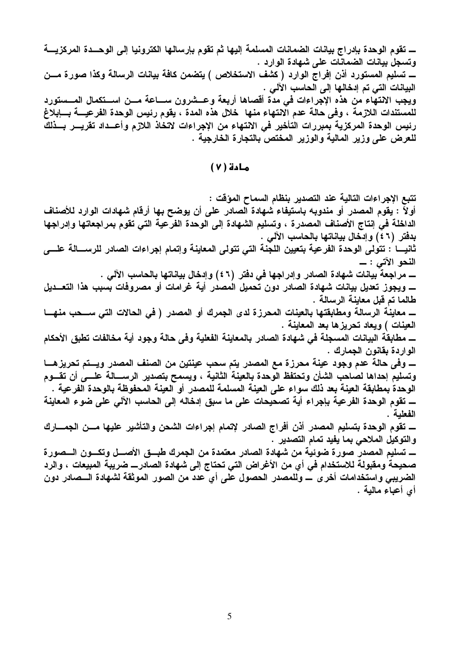ـــــ تقوم الوحدة بإدراج بيانات الضمانات المسلمة إليها ثم تقوم بإرسالها الكترونيا إلى الوحـــدة المركزيــــة وتسجل بيانات الضمانات على شهادة الوارد . ـــ تسليم المستورد أذن إفراج الوارد ( كشف الاستخلاص ) يتضمن كافة بيانات الرسالة وكذا صورة مـــن البيانات التي تم إدخالها إلى الحاسب الآلي . ويجب الانتهاء من هذه الإجراءات في مدة أقصاها أربعة وعــشرون ســـاعة مـــن اســـتكمال المـــستورد للمستندات اللازمة ، وفي حالة عدم الانتهاء منها خلال هذه المدة ، يقوم رئيس الوحدة الفرعيــــة بــــإبلاغ رئيس الوحدة المركزية بمبررات التأخير في الانتهاء من الإجراءات لاتخاذ اللازم وأعــداد تقريـــر بــذلك للعرض على وزير المالية والوزير المختص بالتجارة الخارجية .

 $(V)$  مادة

تتبع الإجراءات التالية عند التصدير بنظام السماح المؤقت : أولاً : يقوم المصدر أو مندوبه باستيفاء شهادة الصادر على أن يوضح بها أرقام شهادات الوارد للأصناف الداخلة في إنتاج الأصناف المصدرة ، وتسليم الشهادة إلى الوحدة الفرعية التي تقوم بمراجعاتها وإدراجها بدفتر (٢ ٤ ) وإدخال بياناتها بالحاسب الآلي . ثانيـــا : تتولى الوحدة الفرعية بتعيين اللجنة التي تتولى المعاينة وإتمام إجراءات الصادر للرســــالة علــــي طالما تم قبل معاينة الرسالة . ــــــ معاينُــة الرسـالـة ومطابقتـها بـالـعينـات المحرزة لدى الـجمرك أو المصدر ( فـي الـحالات التـي ســـحب منـهــــا العينات ) ويعاد تحريزها بعد المعاينة . ـــ مطابقة البيانات المسجلة فى شهادة الصادر بالمعاينة الفعلية وفى حالة وجود أية مخالفات تطبق الأحكام الواردة بقانون الجمارك . وتسليم إحداها لصاحب الشأن وتحتفظ الوحدة بالعينة الثانية ، ويسمح بتصدير الرســـالـة علــــى أن تقــــوم الوحدة بمطابقة العينة بعد ذلك سواء على العينة المسلمة للمصدر أو العينة المحفوظة بالوحدة الفرعية . ــــ تقوم الوحدة الفرعية بإجراء أية تصحيحات على ما سبق إدخاله إلى الحاسب الآلي على ضوع المعاينة الفعلية . ــــ تقوم الوحدة بتسليم المصدر أذن أفراج الصادر لإتمام إجراءات الشحن والتأشير عليها مـــن الجمــــارك والتوكيل الملاحي بما يفيد تمام التصدير . ــــ تسليم المصدر صورة ضوئية من شهادة الصادر معتمدة من الجمرك طبـــق الأصـــل وتكـــون الـــصورة صحيحة ومقبولة للاستخدام في أي من الأغراض التي تحتاج إلى شهادة الصادر\_ ضريبة المبيعات ، والرد الضريبي واستخدامات أخرى ــــ وللمصدر الحصول على أي عدد من الصور الموثقة لشهادة الـــصادر دون

أي أعباء مالية .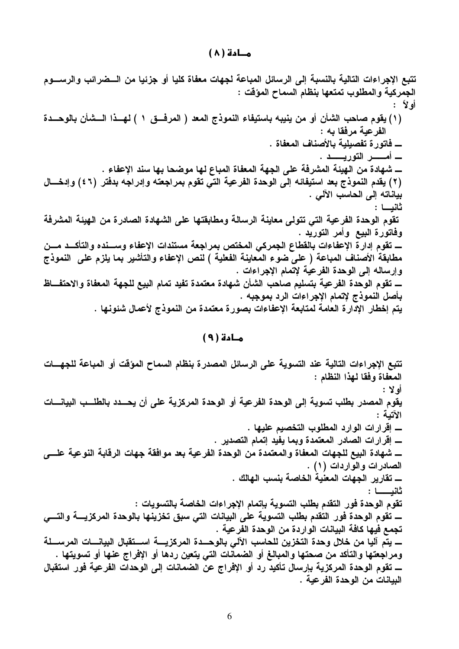#### $(\wedge)$  مــادة

تتبع الإجراءات التالية بالنسبة إلى الرسائل المباعة لجهات معفاة كليا أو جزئيا من الــضرائب والرســـوم الجمركية والمطلوب تمتعها بنظام السماح المؤقت : أو لأ : (١) يقوم صاحب الشأن أو من ينيبه باستيفاء النموذج المعد ( المرفسق ١ ) لهسذا السشأن بالوحسدة الفرعبة مرفقا به : ــــــ فاتور ة تفصيلية بالأصناف المعفاة . ــــ شهادة من الهيئة المشرفة على الجهة المعفاة المباع لها موضحا بها سند الإعفاء . (٢) يقدم النموذج بعد استيفائه إلى الوحدة الفرعية التي تقوم بمراجعته وإدراجه بدفتر (٤٦) وإدخـــال بياناته إلى الحاسب الآلى . ثانبـــا : تقوم الوحدة الفرعية التي تتولى معاينة الرسالة ومطابقتها على الشهادة الصادرة من الهيئة المشرفة وفاتورة البيع وأمر التوريد . ــــــ تقوم إدار ة الإعفاءات بالقطاع الجمركي المختص بمراجعة مستندات الإعفاء وســـنده والتأكـــد مـــن مطابقة الأصناف المباعة ( على ضوع المعاينة الفعلية ) لنص الإعفاء والتأشير بما يلزم على النموذج وإرساله إلى الوحدة الفرعية لإتمام الإجراءات . بأصل النموذج لإتمام الإجراءات الرد بموجبه . يتم إخطار الإدارة العامة لمتابعة الإعفاءات بصورة معتمدة من النموذج لأعمال شئونها .

#### مادة ( ۹ )

تتبع الإجراءات التالية عند التسوية على الرسائل المصدرة بنظام السماح المؤقت أو المباعة للجهسات المعفاة وفقا لهذا النظام : أولا : يقوم المصدر بطلب تسوية إلى الوحدة الفرعية أو الوحدة المركزية على أن يحـــدد بالطلـــب البيانــــات الأتمة : ـــــ شهادة البيع للجهات المعفاة والمعتمدة من الوحدة الفرعية بعد موافقة جهات الرقابة النوعية علــــى الصادرات والواردات (۱) . ــــــ تقارير الجهات المعنية الخاصة بنسب الهالك . ثانيــــا : تقوم الوحدة فور التقدم بطلب التسوية بإتمام الإجراءات الخاصة بالتسويات : تجمع فيها كافة البيانات الواردة من الوحدة الفرعية . ومراجعتها والتأكد من صحتها والمبالغ أو الضمانات التي يتعين ردها أو الإفراج عنها أو تسويتها . ــــــ تقوم الوحدة المركزية بإرسال تأكيد رد أو الإفراج عن الضمانات إلى الوحدات الفرعية فور استقبال البيانات من الوحدة الفرعية .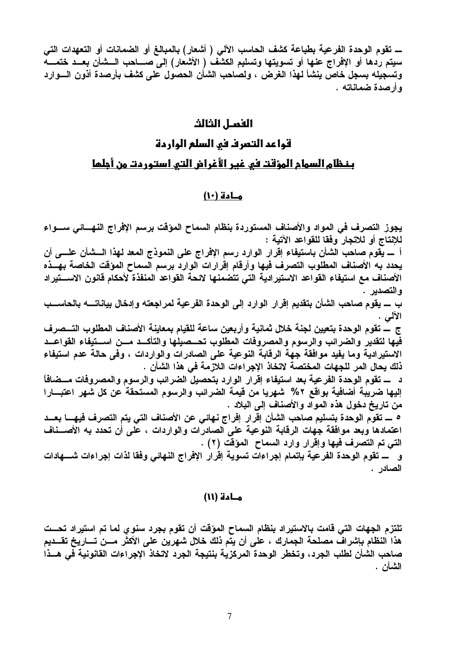ــــــ تقوم الوحدة الفرعية بطباعة كشف الحاسب الآلي ( أشعار) بالمبالغ أو الضمانات أو التعهدات التي سيتم ردها أو الإفراج عنها أو تسويتها وتسليم الكشف ( الأشعار) إلى صـــاحب الـــشأن بعــد ختمـــه وتسجيله بسجل خاص ينشأ لهذا الغرض ، ولصاحب الشأن الحصول على كشف بأرصدة أذون السوارد و أرصدة ضماناته .

# الفمـل الثالث

# قواعد التصرف في السلع الواردة بنظام السمام المؤقت في غير الأغراض التي استوردت من أجلما

#### مـادة (١٠)

يجوز التصرف في المواد والأصناف المستوردة بنظام السماح المؤقت برسم الإفراج النهسائي سسواء للإنتاج أو للاتجار وفقا للقواعد الآتية : أ \_ يقوم صاحب الشأن باستيفاء إقرار الوارد رسم الإفراج على النموذج المعد لهذا الـــشأن علــــي أن يحدد به الأصناف المطلوب التصرف فيها وأرقام إقرارات الوارد برسم السماح المؤقت الخاصة بهــذه الأصناف مع استيفاء القواعد الاستيرادية التي تتضمنها لائحة القواعد المنفذة لأحكام قانون الاسستيراد و التصدير . ب ــــ يقوم صاحب الشأن بتقديم إقرار الوارد إلى الوحدة الفرعية لمراجعته وإدخال بياناتـــــه بالحاســـب الألمى . ج \_ تقوم الوحدة بتعيين لجنة خلال ثمانية وأربعين ساعة للقيام بمعاينة الأصناف المطلوب التـــصرف فيها لتقدير والضرائب والرسوم والمصروفات المطلوب تحسصيلها والتأكسد مسن اسستيفاء القواعسد الاستيرادية وما يفيد موافقة جهة الرقابة النوعية على الصادرات والواردات ، وفي حالة عدم استيفاء ذلك يحال المر للجهات المختصة لاتخاذ الإجراءات اللازمة في هذا الشأن . د ـــ تقوم الوحدة الفرعية بعد استيفاء إقرار الوارد بتحصيل الضرائب والرسوم والمصروفات مـــضافاً إليها ضريبة أضافية بواقع ٢% شهريا من قيمة الضرائب والرسوم المستحقة عن كل شهر اعتبـــارا من تاريخ دخول هذه المواد والأصناف إلى البلاد . ٥ ـــ تقوم الوحدة بتسليم صاحب الشأن إقرار إفراج نهائي عن الأصناف التي يتم التصرف فيهــــا بعـــد اعتمادها وبعد موافقة جهات الرقابة النوعية على الصادرات والواردات ، على أن تحدد به الأصـــناف التي تم التصرف فيها وإقرار وارد السماح المؤقت (٢) . و ـــــ تقوم الوحدة الفرعية بإتمام إجراءات تسوية إقرار الإفراج النهائي وفقا لذات إجراءات شــــهادات الصادر .

#### مـادة (١١)

تلتزم الجهات التي قامت بالاستيراد بنظام السماح المؤقت أن تقوم بجرد سنوي لما تم استيراد تحــت هذا النظام بإشراف مصلحة الجمارك ، على أن يتم ذلك خلال شهرين على الأكثر مـــن تــــاريخ تقـــديم صاحب الشأن لطلب الجرد، وتخطر الوحدة المركزية بنتيجة الجرد لاتخاذ الإجراءات القانونية في هــذا الشأن .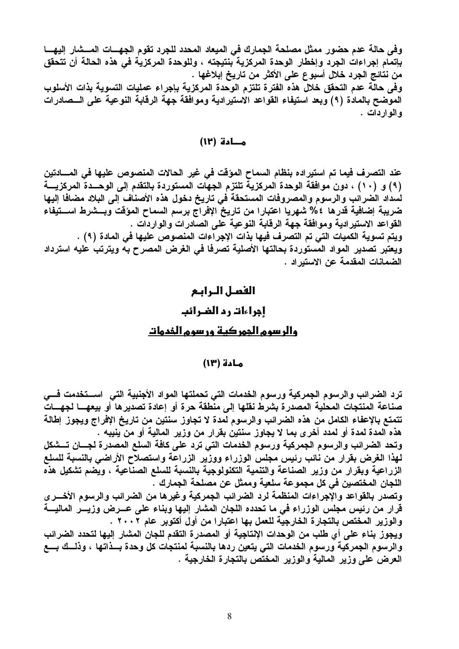وفي حالة عدم حضور ممثل مصلحة الجمارك في الميعاد المحدد للجرد تقوم الجهسات المسشار إليهسا بإتمام إجراءات الجرد وإخطار الوحدة المركزية بنتيجته ، وللوحدة المركزية في هذه الحالة أن تتحقق من نتائج الجرد خلال أسبوع على الأكثر من تاريخ إبلاغها . وفي حالة عدم التحقق خلال هذه الفترة تلتزم الوحدة المركزية بإجراء عمليات التسوية بذات الأسلوب الموضح بالمادة (٩) وبعد استيفاء القواعد الاستيرادية وموافقة جهة الرقابة النوعية على السصادرات و المو ار دات .

#### مطدة (١٢)

عند التصرف فيما تم استيراده بنظام السماح المؤقت في غير الحالات المنصوص عليها في المسادتين (٩) و (١٠) ، دون موافقة الوحدة المركزية تلتزم الجهات المستوردة بالتقدم إلى الوحــدة المركزيـــة لسداد الضرائب والرسوم والمصروفات المستحقة في تاريخ دخول هذه الأصناف إلى البلاد مضافا إليها ضريبة إضافية قدرها ٤% شهريا اعتبارا من تاريخ الإفراج برسم السماح المؤقت وبـــشرط اســـتيفاء القواعد الاستيرادية وموافقة جهة الرقابة النوعية على الصادرات والواردات . ويتم تسوية الكميات التي تم التصرف فيها بذات الإجراءات المنصوص عليها في المادة (٩) . ويعتبر تصدير المواد المستوردة بحالتها الأصلية تصرفا في الغرض المصرح به ويترتب عليه استرداد الضمانات المقدمة عن الاستيراد .

# الفعيل الرابع

# إجراءات رد الضرائب

#### والرسوم الجمركية ورسوم الخدمات

#### مادة (١٣)

ترد الضرائب والرسوم الجمركية ورسوم الخدمات التى تحملتها المواد الأجنبية التى اســـتخدمت فـــى صناعة المنتجات المحلية المصدرة بشرط نقلها إلى منطقة حرة أو إعادة تصديرها أو بيعهـــا لجهـــات تتمتع بالإعفاء الكامل من هذه الضرائب والرسوم لمدة لا تجاوز سنتين من تاريخ الإفراج ويجوز إطالة هذه المدة لمدة أو لمدد أخرى بما لا يجاوز سنتين بقرار من وزير المالية أو من ينيبه .

وتحد الضرائب والرسوم الجمركية ورسوم الخدمات التي ترد على كافة السلع المصدرة لجسان تسشكل لمهذا الغرض بقرار من نائب رئيس مجلس الوزراء ووزير الزراعة واستصلاح الأراضى بالنسبة للسلع الزراعية وبقرار من وزير الصناعة والتنمية التكنولوجية بالنسبة للسلع الصناعية ، ويضم تشكيل هذه اللجان المختصين في كل مجموعة سلعية وممثل عن مصلحة الجمارك .

وتصدر بالقواعد والإجراءات المنظمة لرد الضرائب الجمركية وغيرها من الضرائب والرسوم الأخسرى قرار من رئيس مجلس الوزراء في ما تحدده اللجان المشار إليها وبناء على عــرض وزيـــر الماليــــة و الوزير المختص بالتجار ة الخارجية للعمل بـها اعتبار ا من أول أكتوبر عام ٢٠٠٢ .

ويجوز بناء على أي طلب من الوحدات الإنتاجية أو المصدرة التقدم للجان المشار إليها لتحدد الضرائب والرسوم الجمركية ورسوم الخدمات التي يتعين ردها بالنسبة لمنتجات كل وحدة بــذاتها ، وذلــك بـــع العرض على وزير المالية والوزير المختص بالتجارة الخارجية .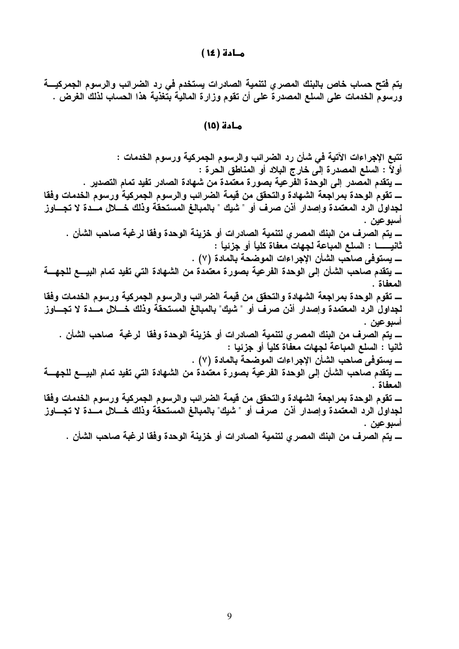#### مـادة ( ١٤ )

يتم فتح حساب خاص بالبنك المصري لتنمية الصادرات يستخدم في رد الضرائب والرسوم الجمركيــــة ورسوم الخدمات على السلع المصدرة على أن تقوم وزارة المالية بتغذية هذا الحساب لذلك الغرض .

#### مادة (١٥)

تتبع الإجراءات الآتية في شأن رد الضرائب والرسوم الجمركية ورسوم الخدمات : أولاً : السلع المصدرة إلى خارج البلاد أو المناطق الحرة : ــــــ يتقدم المصدر إلى الوحدة الفرعية بصورة معتمدة من شهادة الصادر تفيد تمام التصدير . لجداول الرد المعتمدة وإصدار أذن صرف أو " شيك " بالمبالغ المستحقة وذلك خــــلال مـــدة لا تجــــاوز أسبو عين . ـــــ يتم الصرف من البنك المصر ي لتنمية الصادرات أو خزينة الوحدة وفقا لرغبة صاحب الشأن . ــــــ يستوفى صاحب الشأن الإجراءات الموضحة بالمادة (٧) . ــــــــ يتقدم صاحب الشأن إلى الوحدة الفرعية بصورة معتمدة من الشهادة التي تفيد تمام البيــــع للجهــــة المعفاة . لجداول الرد المعتمدة وإصدار أذن صرف أو " شبِك" بالمبالغ المستحقة وذلك خــــلال مـــدة لا تجــــاوز اسبوعين . ـــــ يتم الصرف من البنك المصر ي لتنمية الصادرات أو خزينة الوحدة وفقا لرغبة صاحب الشأن . ثانيا : السلع المباعة لجهات معفاة كلياً أو جزئيا : ـــــ يستوفى صاحب الشأن الإجراءات الموضحة بالمادة (٧) . ــــــــ يتقدم صــاحب الشــأن إلـى الوحدة الفرعيــة بصور ة معتمدة من الشـهادة التـى تفيد تمـام البيــــع للجهــــة المعفاة . لجداول الرد المعتمدة وإصدار أذن صرف أو " شيك" بالمبالغ المستحقة وذلك خــــلال مـــدة لا تجــــاوز أسبوعين . ــــــــ يتم الصرف من البنك المصري لتنمية الصادرات أو خزينة الوحدة وفقا لرغبة صاحب الشأن .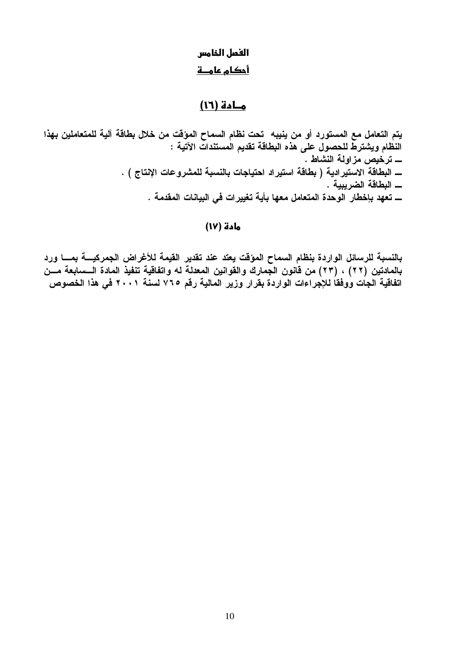# الفصل الخامس أحكام علمــة

# مادة (١٦)

يتم التعامل مع المستورد أو من ينيبه تحت نظام السماح المؤقت من خلال بطاقة آلية للمتعاملين بهذا النظام ويشترط للحصول على هذه البطاقة تقديم المستندات الآتية : ـــــ ترخيص مزاولة النشاط . ــــ البطاقة الاستيرادية ( بطاقة استيراد احتياجات بالنسبة للمشروعات الإنتاج ) . ـــ تعهد بإخطار الوحدة المتعامل معها بأية تغييرات في البيانات المقدمة .

### مادة (١٧)

بالنسبة للرسائل الواردة بنظام السماح المؤقت يعتد عند تقدير القيمة للأغراض الجمركيسة بمسا ورد بالمادتين (٢٢) ، (٢٣) من قانون الجمارك والقوانين المعدلة له واتفاقية تنفيذ المادة الـــسابعة مـــن اتفاقية الجات ووفقا للإجراءات الواردة بقرار وزير المالية رقم ٧٦٥ لسنة ٢٠٠١ في هذا الخصوص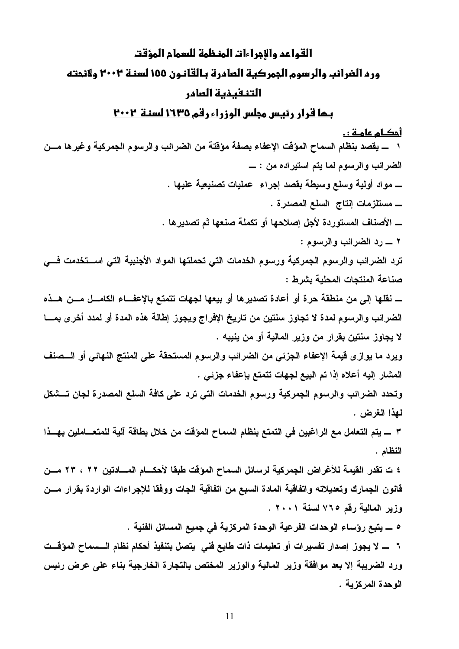# القواعد والإجراءات المنظمة للسمام المؤقت ورد الغرائب والرسوم الجمركية العادرة بالقانون ١٥٥ لسنة ٢٠٠٢ ولائحته التنفيذية العادر

### <u>بـما قرار رئيس مجلس الوزراء رقم ١٦٣٥ لسنـة ٢٠٠٢</u>

#### أحكـام عا<u>مـة : .</u>

١ ــــ يقصد بنظام السماح المؤقت الإعفاء بصفة مؤقتة من الضرائب والرسوم الجمركية وغيرها مـــن الضرائب والرسوم لما يتم استيراده من : \_ ـــــــ مواد أولية وسلع وسيطة بقصد إجراء عمليات تصنيعية عليها . ـــــــ مستلزمات إنتاج السلع المصدرة . ٢ ـــ رد الضرائب والرسوم :

ترد الضرائب والرسوم الجمركية ورسوم الخدمات التي تحملتها المواد الأجنبية التي اسستخدمت فسي صناعة المنتجات المحلية بشرط :

الضرائب والرسوم لمدة لا تجاوز سنتين من تاريخ الإفراج ويجوز إطالة هذه المدة أو لمدد أخرى بمـــا لا يجاوز سنتين بقرار من وزير المالية أو من ينيبه .

ويرد ما يواز ى قيمة الإعفاء الجزئي من الضرائب والرسوم المستحقة على المنتج النهائي أو السصنف المشار إليه أعلاه إذا تم البيع لجهات تتمتع بإعفاء جزئي .

وتحدد الضرائب والرسوم الجمركية ورسوم الخدمات التي ترد على كافة السلع المصدرة لجان تسشكل لمهذا الغرض .

٣ ـــــ يتم التعامل مع الراغبين في التمتع بنظام السماح الموَقت من خلال بطاقة آلية للمتعــــاملين بهـــذا النظام .

٤ ت تقدر القيمة للأغراض الجمركية لرسائل السماح المؤقت طبقا لأحكـــام المــــادتين ٢٢ ، ٢٣ مـــن قانون الجمارك وتعديلاته واتفاقية المادة السبع من اتفاقية الجات ووفقا للإجراءات الواردة بقرار مسن وزير المالية رقم ٧٦٥ لسنة ٢٠٠١ .

٥ \_ يتبع رؤساء الوحدات الفرعية الوحدة المركزية في جميع المسائل الفنية .

٦ ـــ لا يجوز إصدار تفسيرات أو تعليمات ذات طابع فني يتصل بتنفيذ أحكام نظام الـــسماح المؤقــت ورد الضريبة إلا بعد موافقة وزير المالية والوزير المختص بالتجارة الخارجية بناء على عرض رئيس الوحدة المركزية .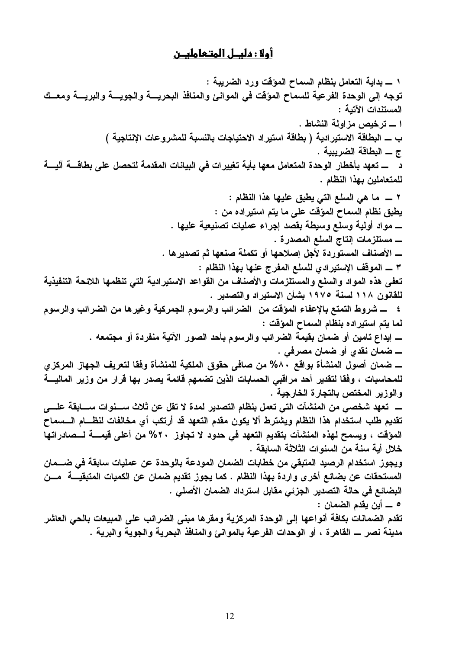# أولا : دليــل المتـعـامليــن

١ ــــ بداية التعامل بنظام السماح المؤقت ورد الضريبة : توجه إلى الوحدة الفرعية للسماح المؤقت في الموانئ والمنافذ البحريسة والجويسة والبريسة ومعسك المستندات الآتية : ا ــــ ترخيص مزاولة النشاط . ب ـــ البطاقة الاستير ادية ( بطاقة استير اد الاحتياجات بالنسبة للمشروعات الإنتاجية ) ج \_ البطاقة الضريبية . د ــــــ تعهد بأخطار الوحدة المتعامل معها بأية تغييرات في البيانات المقدمة لتحصل على بطاقــــة آليــــة للمتعاملين بهذا النظام . يطبق نظام السماح المؤقت على ما يتم استيراده من : ـــــ مواد أولية وسلع وسيطة بقصد إجراء عمليات تصنيعية عليها . ٣ ـــ الموقف الإستيرادي للسلع المفرج عنها بهذا النظام : تعفي هذه المواد والسلع والمستلزمات والأصناف من القواعد الاستيرادية التي تنظمها اللائحة التنفيذية للقانون ١١٨ لسنة ١٩٧٥ بشأن الاستيراد والتصدير . ٤ ـــــ شروط التمتع بالإعفاء المؤقت من الضرائب والرسوم الجمركية وغيرها من الضرائب والرسوم لما يتم استيراده بنظام السماح المؤقت : \_ إيداع تامين أو ضمان بقيمة الضرائب والرسوم بأحد الصور الآتية منفردة أو مجتمعه . ـــ ضمان نقدي أو ضمان مصرفي . للمحاسبات ، وفقا لتقدير أحد مراقبي الحسابات الذين تضمهم قائمة يصدر بها قرار من وزير الماليــــة والوزير المختص بالتجارة الخارجية . ـــــــــــ تعهد شخصـي من المنشآت التي تعمل بنظام التصدير لمدة لا تقل عن ثلاث ســــنوات ســـــابقة علــــي تقديم طلب استخدام هذا النظام ويشترط ألا يكون مقدم التعهد قد أرتكب أي مخالفات لنظـــام الـــسماح المؤقت ، ويسمح لهذه المنشآت بتقديم التعهد في حدود لا تجاوز ٢٠% من أعلى قيمــــة لـــصـادراتها خلال أية سنة من السنوات الثلاثة السابقة . ويجوز استخدام الرصيد المتبقى من خطابات الضمان المودعة بالوحدة عن عمليات سابقة في ضـــمان المستحقات عن بضائع أخر ى واردة بهذا النظام . كما يجوز تقديم ضمان عن الكميات المتبقيــــة مـــن البضائع في حالة التصدير الجزئي مقابل استرداد الضمان الأصلي . ٥ \_\_ أين يقدم الضمان : تقدم الضمانات بكافة أنواعها إلى الوحدة المركزية ومقرها مبنى الضرائب على المبيعات بالحي العاشر مدينـة نصر ــــ القاهر ة ، أو الوحدات الفرعيـة بـالموانـئ والمنـافذ البحريـة والجويـة والبريـة .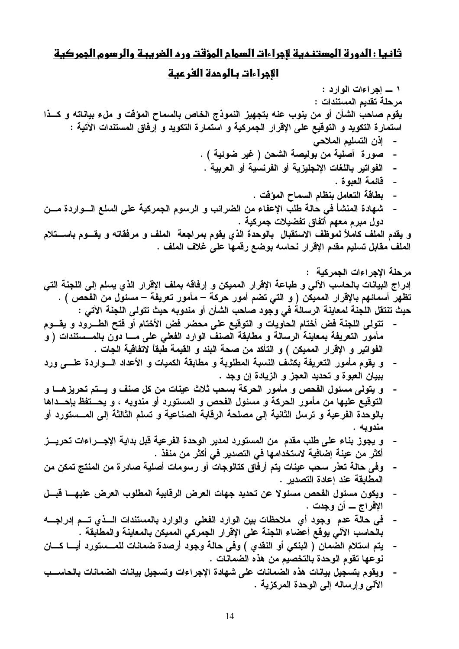## ثانيا : الدورة المستندية لاجراءات السمام المؤقت ورد الضريبة والرسوم الجمركية

#### الإجراءات بالوحدة الفرعية

١ ــ اجر اءات الوارد: مرحلة تقديم المستندات : يقوم صاحب الشأن أو من ينوب عنه بتجهيز النموذج الخاص بالسماح المؤقت و ملء بياناته و كــذا استمارة التكويد و التوقيع على الإقرار الجمركية و استمارة التكويد و إرفاق المستندات الآتية : - إذن التسليم الملاحي الفواتير باللغات الإنجليزية أو الفرنسية أو العربية .  $\sim$ - قَائِمة العبو ة . بطاقة التعامل بنظام السماح المؤقت .  $\overline{\phantom{a}}$ شهادة المنشأ في حالة طلب الإعفاء من الضرائب و الرسوم الجمركية على السلع السواردة مسن  $\sim$ دول مبر ۾ معهم أتفاق تفضيلات جمر کية . و يقدم الملف كاملاً لموظف الاستقبال بالوحدة الذي يقوم بمراجعة الملف و مرفقاته و يقسوم باسستلام الملف مقابل تسليم مقدم الإقرار نحاسه بوضع رقمها على غلاف الملف . مرحلة الإجراءات الجمركية : إدراج البيانات بالحاسب الآلي و طباعة الإقرار المميكن و إرفاقه بملف الإقرار الذي يسلم إلى اللجنة التي تظهر أسمائهم بالإقرار المميكن ( و التي تضم أمور حركة – مأمور تعريفة – مسئول من الفحص ) . حيث تنتقل اللجنة لمعاينة الرسالة في وجود صاحب الشأن أو مندوبه حيث تتولى اللجنة الآتي : تتولى اللجنة فض أختام الحاويات و التوقيع على محضر فض الأختام أو فتح الطـــرود و يقـــوم مأمور التعريفة بمعاينة الرسالة و مطابقة الصنف الوارد الفعلي على مـــا دون بالمـــستندات ( و الفواتير و الإقرار المميكن ) و التأكد من صحة البند و القيمة طَّبقاً لآتفاقية الجات . و يقوم مأمور التعريفة بكشف النسبة المطلوبة و مطابقة الكميات و الأعداد السواردة علسى ورد ببيان العبوة و تحديد العجز و الزيادة إن وجد . و. يتولَّى مسئول الفحص و مأمور. الحركة بسحب ثلاث عينات من كل صنف و يستم تحريز هـــا و. التوقيع عليها من مأمور الحركة و مسئول الفحص و المستورد أو مندوبه ، و يحسنفظ بإحسداها بالوحدة الفرعية و ترسل الثانية إلى مصلحة الرقابة الصناعية و تسلم الثالثة إلى المــستورد أو مندويه . و يجوز بناء على طلب مقدم من المستورد لمدير الوحدة الفرعية قبل بداية الإجـــراءات تحريـــز  $\overline{\phantom{a}}$ أكثر من عينة إضافية لاستخدامها في التصدير في أكثر من منفذ .

- وفي حالة تعذر سحب عينات يتم أرفاق كتالوجات أو رسومات أصلية صادرة من المنتج تمكن من المطابقة عند إعادة التصدير .
- ويكون مسئول الفحص مسئولا عن تحديد جهات العرض الرفابية المطلوب العرض عليهـــا قبـــل  $\sim$   $-$ الإفراج ـــ أن وجدت .
- في حالة عدم وجود أي ملاحظات بين الوارد الفعلي والوارد بالمستندات السذي تسم إدراجسه بالحاسب الآلى يوقع أعضاء اللجنة على الإقرار الجمركي المميكن بالمعاينة والمطابقة .
- يتم استلام الضمان ( البنكي أو النقدي ) وفي حالة وجود أرصدة ضمانات للمـــستورد أيـــا كــــان  $\overline{\phantom{a}}$ نوعها تقوم الوحدة بالتخصيم من هذه الضمانات .
- ويقوم بتسجيل بيانات هذه الضمانات على شهادة الإجراءات وتسجيل بيانات الضمانات بالحاســب الآلي وإرساله إلى الوحدة المركزية .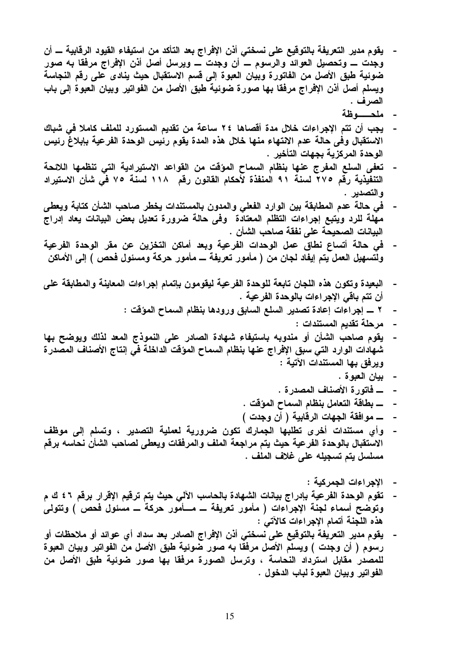- يقوم مدير التعريفة بالتوقيع على نسختي أذن الإفراج بعد التأكد من استيفاء القيود الرقابية ـــ أن وجدت ــــ وتحصيل العوائد والرسوم ــــ أن وجدت ــــ ويرسل أصل أذن الإفراج مرفقا به صور ضوئية طبق الأصل من الفاتورة وبيان العبوة إلى قسم الاستقبال حيث ينادى على رقم النجاسة ويسلم أصل أذن الإڤراج مرفقا بها صورة ضوئية طبق الأصل من الفواتير وبيان العبوة إلى باب الصر ف .
	- ملحصه ظة
- يجب أن تتم الإجراءات خلال مدة أقصاها ٢٤ ساعة من تقديم المستورد للملف كاملا في شباك الاستقبال وفي حالة عدم الانتهاء منها خلال هذه المدة يقوم رئيس الوحدة الفرعية بإبلاغ رئيس الوحدة المركزية بجهات التأخير .
- تعفي السلع المفرج عنها بنظام السماح المؤقت من القواعد الاستيرادية التي تنظمها اللائحة التنفيذية رقم ٢٧٥ لسنة ٩١ المنفذة لأحكام القانون رقم ١١٨ لسنة ٧٥ في شأن الاستيراد والتصدير .
- في حالة عدم المطابقة بين الوارد الفعلى والمدون بالمستندات يخطر صاحب الشأن كتابة ويعطى مهلة للرد ويتبع إجراءات التظلم المعتادة وفي حالة ضرورة تعديل بعض البيانات يعاد إدراج البيانات الصحيحة على نفقة صاحب الشأن .
- في حالة أتساع نطاق عمل الوحدات الفرعية وبعد أماكن التخزين عن مقر الوحدة الفرعية ولتسهيل العمل يتم إيفاد لجان من ( مأمور تعريفة ـــ مأمور حركة ومسئول فحص ) إلى الأماكن
- البعيدة وتكون هذه اللجان تابعة للوحدة الفرعية ليقومون بإتمام إجراءات المعاينة والمطابقة على أن تتم باقى الإجراءات بالوحدة الفرعية .
	- ٢ ــــ إجراءات إعادة تصدير السلع السابق ورودها بنظام السماح المؤقت :
		- مرحلة تقديم المستندات :
- يقوم صاحب الشأن أو مندوبه باستيفاء شهادة الصادر على النموذج المعد لذلك ويوضح بها شهادات الوارد التي سبق الإفراج عنها بنظام السماح المؤقت الداخلة في إنتاج الأصناف المصدرة ويرفق بها المستندات الآتية :
	- بيان العبوة .
	- ــــــ فـاتورة الأصنــاف المصدرة .
	- ـــــ بطاقة التعامل بنظام السماح المؤقت .  $\blacksquare$
	- ـــــــ موافقة الـجـهات الرقابيـة ( أن وجدت )
- وأي مستندات أخرى تطلبها الجمارك تكون ضرورية لعملية التصدير ، وتسلم إلى موظف  $\blacksquare$ الاستقبال بالوحدة الفرعية حيث يتم مراجعة الملف والمرفقات ويعطى لصاحب الشأن نحاسه برقم مسلسل يتم تسجيله على غلاف الملف .
	- الإجراءات الجمركية :
- تقوم الوحدة الفرعية بإدراج بيانات الشهادة بالحاسب الآلي حيث يتم ترقيم الإقرار برقم ٤٦ ك م وتوضح أسماء لجنة الإجراءات ( مأمور تعريفة ــ مـــأمور حركة ـــ مسئول فحص ) وتتولى هذه اللجنة أتمام الإجراءات كالآتي :
- يقوم مدير التعريفة بالتوقيع على نسختي أنن الإفراج الصادر بعد سداد أي عوائد أو ملاحظات أو رسوم ( أن وجدت ) ويسلم الأصل مرفقا به صور ضوئية طبق الأصل من الفواتير وبيان العبوة للمصدر مقابل استرداد النحاسة ، وترسل الصورة مرفقا بها صور ضوئية طبق الأصل من الفواتير وبيان العبوة لباب الدخول .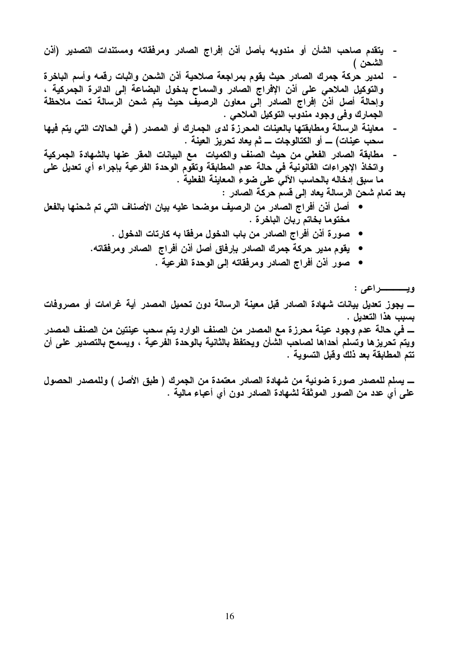- يتقدم صاحب الشأن أو مندوبه بأصل أذن إفراج الصادر ومرفقاته ومستندات التصدير (أذن الشحن )
- لمدير حركة جمرك الصادر حيث يقوم بمراجعة صلاحية أذن الشحن واثبات رقمه وأسم الباخرة والتوكيل الملاحي على أذن الإفراج الصادر والسماح بدخول البضاعة إلى الدائرة الجمركية ، وإحالةً أصل أذن إفراج الصادر إلى معاون الرصيف حيث يتم شحن الرسالة تحت ملاحظة الجمارك وفي وجود مندوب التوكيل الملاحي .
- معاينة الرسالة ومطابقتها بالعينات المحرزة لدى الجمارك أو المصدر ( في الحالات التي يتم فيها سحب عينات) ـــ أو الكتالوجات ـــ ثم يعاد تحريز العينة .
- مطابقة الصادر الفعلى من حيث الصنف والكميات مع البيانات المقر عنها بالشهادة الجمركية واتخاذ الإجراءات القانونية في حالة عدم المطابقة وتقوم الوحدة الفرعية بإجراء أي تعديل على ما سبق إدخاله بالحاسب الآلي على ضوع المعاينة الفعلية .

بعد تمام شحن الرسالة يعاد إلى قسم حركة الصادر :

- أصل أذن أفراج الصادر من الرصيف موضحا عليه بيان الأصناف التي تم شحنها بالفعل مختوما بخاتم ربان الباخرة .
	- صورة أذن أفراج الصادر من باب الدخول مرفقا به كارتات الدخول .
	- يقوم مدير حركة جمرك الصادر بإرفاق أصل أذن أفراج الصادر ومرفقاته.
		- صور أذن أفراج الصادر ومرفقاته إلى الوحدة الفرعية .

<u>ويـــــــــــراعى</u> : ــــ يجوز تعديل بيانات شهادة الصادر قبل معينة الرسالة دون تحميل المصدر أية غرامات أو مصروفات بسبب هذا التعديل . ــــ في حالة عدم وجود عينة محرزة مع المصدر من الصنف الوارد يتم سحب عينتين من الصنف المصدر ويتم تحريزها وتسلم أحداها لصاحب الشأن ويحتفظ بالثانية بالوحدة الفرعية ، ويسمح بالتصدير على أن تتم المطابقة بعد ذلك وقبل التسوية .

ـــــــ يسلم للمصدر صورة ضوئية من شهادة الصادر معتمدة من الجمرك ( طبق الأصل ) وللمصدر الحصول على أي عدد من الصور الموثقة لشهادة الصادر دون أي أعباء مالية .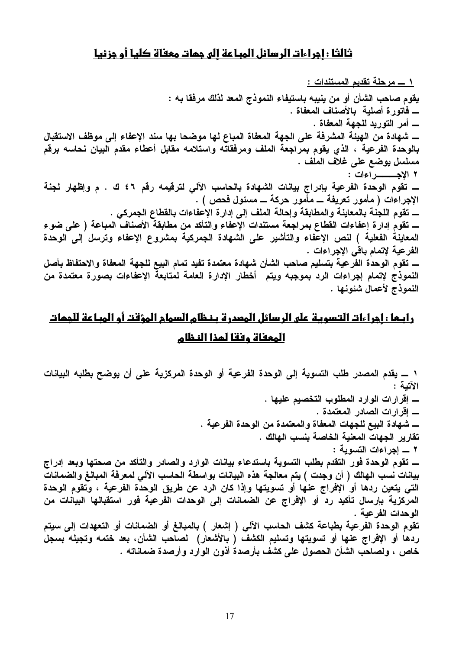## ثالثا : ادراءات الرسائل المباعة الى جمات معفاة كليا أو دزئيا

يقوم صاحب الشأن أو من ينيبه باستيفاء النموذج المعد لذلك مرفقا به : ـــــــ فاتورة أصلية بالأصناف المعفاة . ــــــ أمر التوريد للجهة المعفاة . ـــ شهادة من الـهيئة المشرفة على الجهة المعفاة المباع لها موضحا بـها سند الإعفاء إلى موظف الاستقبال بالوحدة الفرعية ، الذي يقوم بمراجعة الملف ومرفقاته واستلامه مقابل أعطاء مقدم البيان نحاسه برقم مسلسل يوضع على غلاف الملف . ــــــــ تقوم الوحدة الفرعية بإدراج بيانات الشهادة بالحاسب الآلى لترقيمه رقم ٤٦ ك . م وإظهار لجنة الإجراءات ( مأمور تعريفة ـــ مأمور حركة ـــ مسئول فحص ) . ــــ تقوم اللجنــة بـالمعاينــة والمطابقة وإحالـة الملف إلـى إدار ة الإعفاءات بـالقطاع الـجمركي . ــــ تقوم إدارة إعفاءات القطاع بمراجعة مستندات الإعفاء والتأكد من مطابقة الأصناف المباعة ( على ضوء المعاينةُ الفعلية ) لنص الإعّفاء والتأشير على الشهادة الجمركية بمشروع الإعفاء وترسل إلى الوحدة الفرعية لإتمام باقى الإجراءات . ــــ تقوم الوحدة الفَّرعية بتسليم صاحب الشأن شهادة معتمدة تفيد تمام البيع للجهة المعفاة والاحتفاظ بأصل النموذج لإتمام إجراءات الرد بموجبه ويتم أخطار الإدارة العامة لمتابعة الإعفاءات بصورة معتمدة من النموذج لأعمال شئونها .

# <u>رابـها : إجراءات التسويـة على الرسائل المصدرة بـنـظام السمام المؤقت أو المبـاعة للجمات</u> المعفاة وفقا لمذا النظام

١ ــــ يقدم المصدر طلب التسوية إلى الوحدة الفرعية أو الوحدة المركزية على أن يوضح بطلبه البيانات الآتية : ـــــ إقرارات الصادر المعتمدة . ــــــ شـهـادة البيــع للـجـهات المـعفـاة والمـعتمدة من الـوحدة الـفرـعيـة . تقارير الجهات المعنية الخاصة بنسب الهالك . ٢ \_ إجراءات التسوية : ـــــ تقوم الوحدة فور التقدم بطلب التسوية باستدعاء بيانات الوارد والصادر والتأكد من صحتها وبعد إدراج بيانات نسب الهالك ( أن وجدت ) يتم معالجة هذه البيانات بواسطة الحاسب الآلي لمعرفة المبالغ والضمانات التي يتعين ردها أو الإڤراج عنها أو تسويتها وإذا كان الرد عن طريق الوحدة الفرعية ، وتقوم الوحدة المركزية بإرسال تأكيد رد أو الإفراج عن الضمانات إلى الوحدات الفرعية فور استقبالها البيانات من الوحدات الفرعبة . تقوم الوحدة الفرعية بطباعة كشف الحاسب الآلي ( إشعار ) بالمبالغ أو الضمانات أو التعهدات إلى سيتم ردها أو الإفراج عنها أو تسويتها وتسليم الكشف ( بالأشعار) لصاحب الشأن، بعد ختمه وتجيله بسجل خاص ، ولصاحب الشأن الحصول على كشف بأرصدة أذون الوارد وأرصدة ضماناته .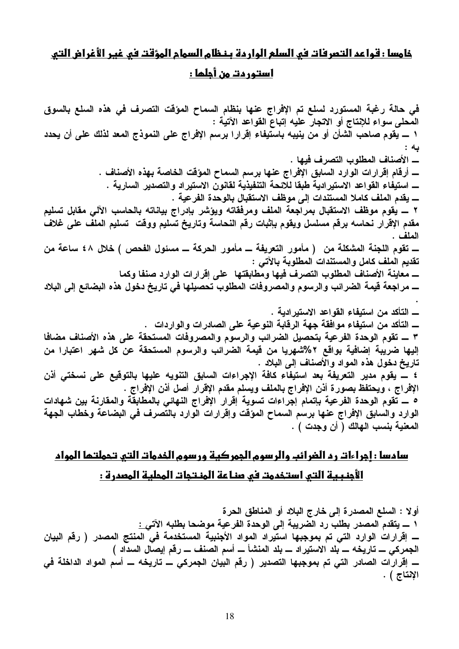# خامسا : قواعد التصرفات في السلع الواردة بنظام السوام المؤقت في غير الأغراض التي

استور دت من أجلما :

في حالة رغبة المستورد لسلع تم الإفراج عنها بنظام السماح المؤقت التصرف في هذه السلع بالسوق المحلي سواء للإنتاج أو الاتجار عليه إتباع القواعد الآتية : ١ ـــ يقوم صاحب الشأن أو من ينيبه باستيفاء إقرارا برسم الإفراج على النموذج المعد لذلك على أن يحدد به : ــــــ أرقام إقرارات الوارد السابق الإفراج عنها برسم السماح المؤقت الخاصة بهذه الأصناف . ــــــ استيفاء القواعد الاستير ادية طبقا للائحة التنفيذية لقانون الاستير اد والتصدير السارية . ـــــ يقدم الملف كاملا المستندات إلى موظف الاستقبال بالوحدة الفرعية . ٢ ــــ يقوم موظف الاستقبال بمراجعة الملف ومرفقاته ويؤشر بإدراج بياناته بالحاسب الآلي مقابل تسليم مقدم الإقرار نحاسه برقم مسلسل ويقوم بإثبات رقم النحاسة وتاريخ تسليم ووقت تسليم الملف على غلاف الملف . ــــــ تقوم اللجنة المشكلة من ( مأمور التعريفة ــــ مأمور الحركة ــــ مسئول الفحص ) خلال ٤٨ ساعة من تقديم الملف كامل والمستندات المطلوبة بالآتي : ـــــ معاينــة الأصنــاف المطلوب التصرف فيـها ومطابقتها علـى إقرارات الوارد صنفا وكمـا \_ مراجعة قيمة الضرائب والرسوم والمصروفات المطلوب تحصيلها في تاريخ دخول هذه البضائع إلى البلاد ـــــ التأكد من استيفاء موافقة جهة الرقابة النوعية على الصادرات والواردات . ٣ ــــ تقوم الوحدة الفرعية بتحصيل الضرائب والرسوم والمصروفات المستحقة على هذه الأصناف مضافا إليها ضريبة إضافية بواقع ٢%شهريا من قيمة الضرائب والرسوم المستحقة عن كل شهر اعتبارا من تاريخ دخول هذه المواد والأصناف إلى البلاد . ٤ ـــ يقوم مدير التعريفة بعد استيفاء كافة الإجراءات السابق التنويه عليها بالتوقيع على نسختي أذن الإفراج ، ويحتفظ بصورة أذن الإفراج بالملف ويسلم مقدم الإقرار أصل أذن الإفراج . ٥ ـــ تقوم الوحدة الفرعية بإتمام إجراءات تسوية إقرار الإفراج النهائي بالمطابقة والمقارنة بين شهادات الوارد والسابق الإفراج عنها برسم السماح المؤقت وإقرارات الوارد بالتصرف فى البضاعة وخطاب الجهة المعنية بنسب الـهالك ( أن وجدت ) .

# سادسا : اجراءات رد الضرائب والرسوم الجمركية ورسوم الخدمات التي تحملتما المواد الأُجنبية التي استخدمت في صناعة المنتجات المحلية المصدرة :

أو لا : السلع المصدر ة إلى خارج البلاد أو المناطق الحر ة ١ ــــ يتقدم المصدر بطلب رد الضريبة إلى الوحدة الفرعية موضحا بطلبه الآت<u>ي :</u> ـــــ إقرارات الوارد التي تم بموجبها استيراد المواد الأجنبية المستخدمة في المنتج المصدر ( رقم البيان الجمركي ـــ تاريخه ـــ بلد الاستيراد ـــ بلد المنشأ ـــ أسم الصنف ـــ رفم إيصال السداد ) الإنتاج ) .